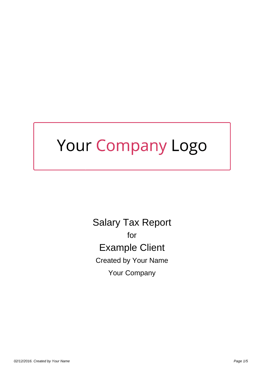# Your Company Logo

Salary Tax Report for Example Client Created by Your Name Your Company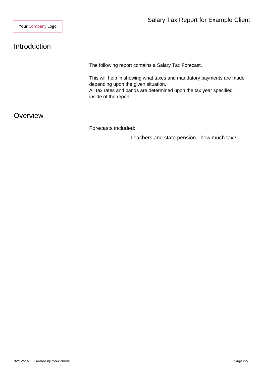# Introduction

The following report contains a Salary Tax Forecast.

This will help in showing what taxes and mandatory payments are made depending upon the given situation.

All tax rates and bands are determined upon the tax year specified inside of the report.

### **Overview**

Forecasts included:

- Teachers and state pension - how much tax?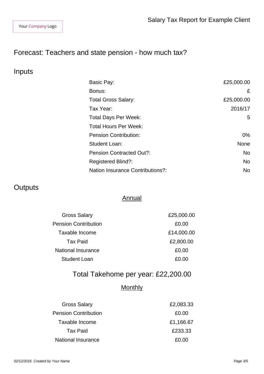# Forecast: Teachers and state pension - how much tax?

## Inputs

| Basic Pay:                              | £25,000.00  |
|-----------------------------------------|-------------|
| Bonus:                                  | £           |
| <b>Total Gross Salary:</b>              | £25,000.00  |
| Tax Year:                               | 2016/17     |
| <b>Total Days Per Week:</b>             | 5           |
| <b>Total Hours Per Week:</b>            |             |
| <b>Pension Contribution:</b>            | $0\%$       |
| Student Loan:                           | <b>None</b> |
| <b>Pension Contracted Out?:</b>         | <b>No</b>   |
| <b>Registered Blind?:</b>               | <b>No</b>   |
| <b>Nation Insurance Contributions?:</b> | <b>No</b>   |

# **Outputs**

#### **Annual**

| <b>Gross Salary</b>         | £25,000.00 |
|-----------------------------|------------|
| <b>Pension Contribution</b> | £0.00      |
| Taxable Income              | £14,000.00 |
| <b>Tax Paid</b>             | £2,800.00  |
| <b>National Insurance</b>   | £0.00      |
| <b>Student Loan</b>         | £0.00      |

# Total Takehome per year: £22,200.00

## **Monthly**

| <b>Gross Salary</b>         | £2,083.33 |
|-----------------------------|-----------|
| <b>Pension Contribution</b> | £0.00     |
| Taxable Income              | £1,166.67 |
| Tax Paid                    | £233.33   |
| National Insurance          | £0.00     |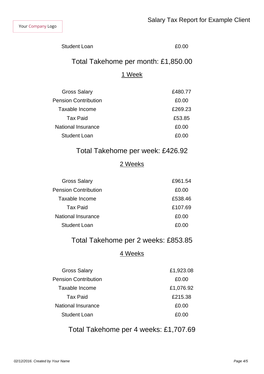Student Loan **ED.00** 

## Total Takehome per month: £1,850.00

#### 1 Week

| <b>Gross Salary</b>         | £480.77 |
|-----------------------------|---------|
| <b>Pension Contribution</b> | £0.00   |
| Taxable Income              | £269.23 |
| Tax Paid                    | £53.85  |
| National Insurance          | £0.00   |
| Student Loan                | £0.00   |
|                             |         |

## Total Takehome per week: £426.92

#### 2 Weeks

| £961.54 |
|---------|
| £0.00   |
| £538.46 |
| £107.69 |
| £0.00   |
| £0.00   |
|         |

## Total Takehome per 2 weeks: £853.85

#### 4 Weeks

| <b>Gross Salary</b>         | £1,923.08 |
|-----------------------------|-----------|
| <b>Pension Contribution</b> | £0.00     |
| Taxable Income              | £1,076.92 |
| Tax Paid                    | £215.38   |
| National Insurance          | £0.00     |
| Student Loan                | £0.00     |

Total Takehome per 4 weeks: £1,707.69